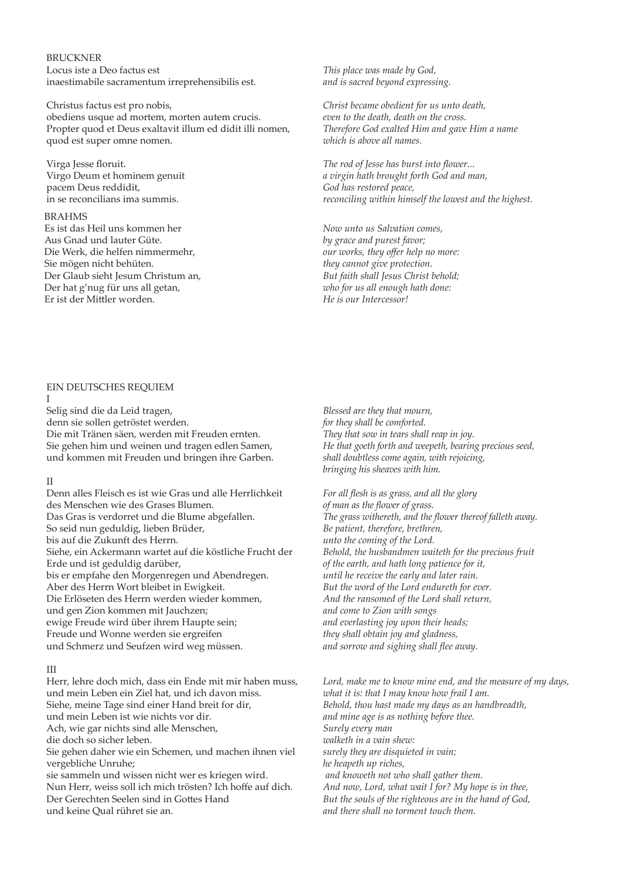### BRUCKNER Locus iste a Deo factus est inaestimabile sacramentum irreprehensibilis est.

Christus factus est pro nobis, obediens usque ad mortem, morten autem crucis. Propter quod et Deus exaltavit illum ed didit illi nomen, quod est super omne nomen.

Virga Jesse floruit. Virgo Deum et hominem genuit pacem Deus reddidit, in se reconcilians ima summis.

### BRAHMS

Es ist das Heil uns kommen her Aus Gnad und lauter Güte. Die Werk, die helfen nimmermehr, Sie mögen nicht behüten. Der Glaub sieht Jesum Christum an, Der hat g'nug für uns all getan, Er ist der Mitler worden.

*This place was made by God, and is sacred beyond expressing.* 

*Christ became obedient for us unto death, even to the death, death on the cross. Therefore God exalted Him and gave Him a name which is above all names.*

*The rod of Jesse has burst into fower... a virgin hath brought forth God and man, God has restored peace, reconciling within himself the lowest and the highest.*

*Now unto us Salvation comes, by grace and purest favor; our works, they ofer help no more: they cannot give protection. But faith shall Jesus Christ behold; who for us all enough hath done: He is our Intercessor!*

#### EIN DEUTSCHES REQUIEM I

Selig sind die da Leid tragen, denn sie sollen getröstet werden. Die mit Tränen säen, werden mit Freuden ernten. Sie gehen him und weinen und tragen edlen Samen, und kommen mit Freuden und bringen ihre Garben.

#### II

Denn alles Fleisch es ist wie Gras und alle Herrlichkeit des Menschen wie des Grases Blumen. Das Gras is verdorret und die Blume abgefallen. So seid nun geduldig, lieben Brüder, bis auf die Zukunft des Herrn. Siehe, ein Ackermann wartet auf die köstliche Frucht der Erde und ist geduldig darüber, bis er empfahe den Morgenregen und Abendregen. Aber des Herrn Wort bleibet in Ewigkeit. Die Erlöseten des Herrn werden wieder kommen, und gen Zion kommen mit Jauchzen; ewige Freude wird über ihrem Haupte sein; Freude und Wonne werden sie ergreifen und Schmerz und Seufzen wird weg müssen.

# III

Herr, lehre doch mich, dass ein Ende mit mir haben muss, und mein Leben ein Ziel hat, und ich davon miss. Siehe, meine Tage sind einer Hand breit for dir, und mein Leben ist wie nichts vor dir. Ach, wie gar nichts sind alle Menschen, die doch so sicher leben. Sie gehen daher wie ein Schemen, und machen ihnen viel vergebliche Unruhe; sie sammeln und wissen nicht wer es kriegen wird. Nun Herr, weiss soll ich mich trösten? Ich hofe auf dich. Der Gerechten Seelen sind in Gotes Hand und keine Qual rühret sie an.

*Blessed are they that mourn, for they shall be comforted. They that sow in tears shall reap in joy. He that goeth forth and weepeth, bearing precious seed, shall doubtless come again, with rejoicing, bringing his sheaves with him.*

*For all fesh is as grass, and all the glory of man as the fower of grass. The grass withereth, and the fower thereof falleth away. Be patient, therefore, brethren, unto the coming of the Lord. Behold, the husbandmen waiteth for the precious fruit of the earth, and hath long patience for it, until he receive the early and later rain. But the word of the Lord endureth for ever. And the ransomed of the Lord shall return, and come to Zion with songs and everlasting joy upon their heads; they shall obtain joy and gladness, and sorrow and sighing shall fee away.*

*Lord, make me to know mine end, and the measure of my days, what it is: that I may know how frail I am. Behold, thou hast made my days as an handbreadth, and mine age is as nothing before thee. Surely every man walketh in a vain shew: surely they are disquieted in vain; he heapeth up riches, and knoweth not who shall gather them. And now, Lord, what wait I for? My hope is in thee, But the souls of the righteous are in the hand of God, and there shall no torment touch them.*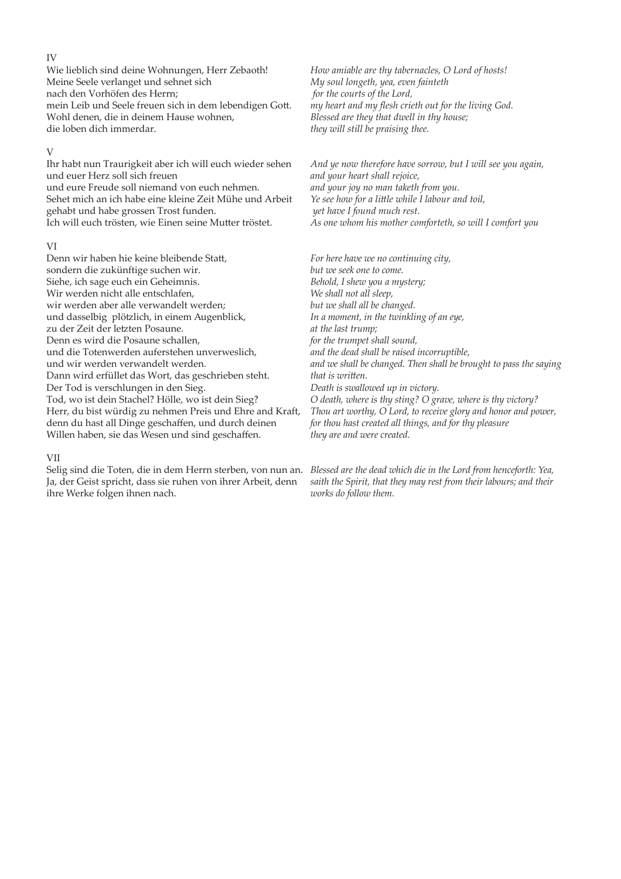#### IV

Wie lieblich sind deine Wohnungen, Herr Zebaoth! Meine Seele verlanget und sehnet sich nach den Vorhöfen des Herrn; mein Leib und Seele freuen sich in dem lebendigen Got. Wohl denen, die in deinem Hause wohnen, die loben dich immerdar.

### V

Ihr habt nun Traurigkeit aber ich will euch wieder sehen und euer Herz soll sich freuen und eure Freude soll niemand von euch nehmen. Sehet mich an ich habe eine kleine Zeit Mühe und Arbeit gehabt und habe grossen Trost funden. Ich will euch trösten, wie Einen seine Muter tröstet.

#### VI

Denn wir haben hie keine bleibende Stat, sondern die zukünftige suchen wir. Siehe, ich sage euch ein Geheimnis. Wir werden nicht alle entschlafen, wir werden aber alle verwandelt werden; und dasselbig plötzlich, in einem Augenblick, zu der Zeit der letzten Posaune. Denn es wird die Posaune schallen, und die Totenwerden auferstehen unverweslich, und wir werden verwandelt werden. Dann wird erfüllet das Wort, das geschrieben steht. Der Tod is verschlungen in den Sieg. Tod, wo ist dein Stachel? Hölle, wo ist dein Sieg? Herr, du bist würdig zu nehmen Preis und Ehre and Kraft, denn du hast all Dinge geschafen, und durch deinen Willen haben, sie das Wesen und sind geschaffen.

### *How amiable are thy tabernacles, O Lord of hosts! My soul longeth, yea, even fainteth for the courts of the Lord, my heart and my fesh crieth out for the living God. Blessed are they that dwell in thy house; they will still be praising thee.*

*And ye now therefore have sorrow, but I will see you again, and your heart shall rejoice, and your joy no man taketh from you. Ye see how for a litle while I labour and toil, yet have I found much rest. As one whom his mother comforteth, so will I comfort you*

*For here have we no continuing city, but we seek one to come. Behold, I shew you a mystery; We shall not all sleep, but we shall all be changed. In a moment, in the twinkling of an eye, at the last trump; for the trumpet shall sound, and the dead shall be raised incorruptible, and we shall be changed. Then shall be brought to pass the saying that is writen. Death is swallowed up in victory. O death, where is thy sting? O grave, where is thy victory? Thou art worthy, O Lord, to receive glory and honor and power, for thou hast created all things, and for thy pleasure they are and were created.*

#### VII

Selig sind die Toten, die in dem Herrn sterben, von nun an. *Blessed are the dead which die in the Lord from henceforth: Yea,*  Ja, der Geist spricht, dass sie ruhen von ihrer Arbeit, denn ihre Werke folgen ihnen nach.

*saith the Spirit, that they may rest from their labours; and their works do follow them.*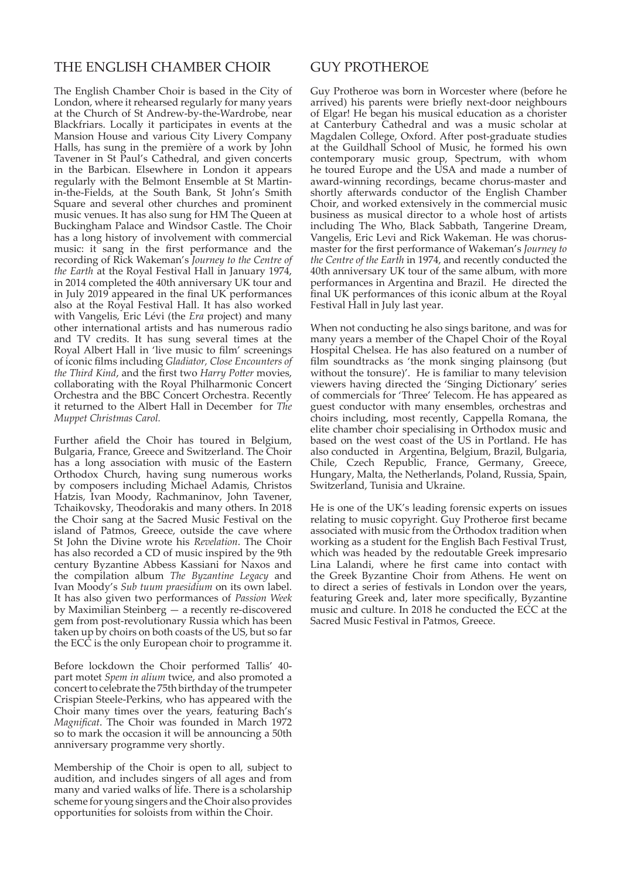# THE ENGLISH CHAMBER CHOIR

The English Chamber Choir is based in the City of London, where it rehearsed regularly for many years at the Church of St Andrew-by-the-Wardrobe, near Blackfriars. Locally it participates in events at the Mansion House and various City Livery Company Halls, has sung in the première of a work by John Tavener in St Paul's Cathedral, and given concerts in the Barbican. Elsewhere in London it appears regularly with the Belmont Ensemble at St Martinin-the-Fields, at the South Bank, St John's Smith Square and several other churches and prominent music venues. It has also sung for HM The Queen at Buckingham Palace and Windsor Castle. The Choir has a long history of involvement with commercial music: it sang in the first performance and the recording of Rick Wakeman's *Journey to the Centre of the Earth* at the Royal Festival Hall in January 1974, in 2014 completed the 40th anniversary UK tour and in July 2019 appeared in the final UK performances also at the Royal Festival Hall. It has also worked with Vangelis, Eric Lévi (the *Era* project) and many other international artists and has numerous radio and TV credits. It has sung several times at the Royal Albert Hall in 'live music to film' screenings of iconic films including *Gladiator*, *Close Encounters of the Third Kind,* and the first two *Harry Potter* movies, collaborating with the Royal Philharmonic Concert Orchestra and the BBC Concert Orchestra. Recently it returned to the Albert Hall in December for *The Muppet Christmas Carol.*

Further afield the Choir has toured in Belgium, Bulgaria, France, Greece and Switzerland. The Choir has a long association with music of the Eastern Orthodox Church, having sung numerous works by composers including Michael Adamis, Christos Hatzis, Ivan Moody, Rachmaninov, John Tavener, Tchaikovsky, Theodorakis and many others. In 2018 the Choir sang at the Sacred Music Festival on the island of Patmos, Greece, outside the cave where St John the Divine wrote his *Revelation*. The Choir has also recorded a CD of music inspired by the 9th century Byzantine Abbess Kassiani for Naxos and the compilation album *The Byzantine Legacy* and Ivan Moody's *Sub tuum praesidium* on its own label. It has also given two performances of *Passion Week* by Maximilian Steinberg — a recently re-discovered gem from post-revolutionary Russia which has been taken up by choirs on both coasts of the US, but so far the ECC is the only European choir to programme it.

Before lockdown the Choir performed Tallis' 40 part motet *Spem in alium* twice, and also promoted a concert to celebrate the 75th birthday of the trumpeter Crispian Steele-Perkins, who has appeared with the Choir many times over the years, featuring Bach's *Magnificat*. The Choir was founded in March 1972 so to mark the occasion it will be announcing a 50th anniversary programme very shortly.

Membership of the Choir is open to all, subject to audition, and includes singers of all ages and from many and varied walks of life. There is a scholarship scheme for young singers and the Choir also provides opportunities for soloists from within the Choir.

# GUY PROTHEROE

Guy Protheroe was born in Worcester where (before he arrived) his parents were briefly next-door neighbours of Elgar! He began his musical education as a chorister at Canterbury Cathedral and was a music scholar at Magdalen College, Oxford. After post-graduate studies at the Guildhall School of Music, he formed his own contemporary music group, Spectrum, with whom he toured Europe and the USA and made a number of award-winning recordings, became chorus-master and shortly afterwards conductor of the English Chamber Choir, and worked extensively in the commercial music business as musical director to a whole host of artists including The Who, Black Sabbath, Tangerine Dream, Vangelis, Eric Levi and Rick Wakeman. He was chorusmaster for the first performance of Wakeman's *Journey to the Centre of the Earth* in 1974, and recently conducted the 40th anniversary UK tour of the same album, with more performances in Argentina and Brazil. He directed the final UK performances of this iconic album at the Royal Festival Hall in July last year.

When not conducting he also sings baritone, and was for many years a member of the Chapel Choir of the Royal Hospital Chelsea. He has also featured on a number of film soundtracks as 'the monk singing plainsong (but without the tonsure)'. He is familiar to many television viewers having directed the 'Singing Dictionary' series of commercials for 'Three' Telecom. He has appeared as guest conductor with many ensembles, orchestras and choirs including, most recently, Cappella Romana, the elite chamber choir specialising in Orthodox music and based on the west coast of the US in Portland. He has also conducted in Argentina, Belgium, Brazil, Bulgaria, Chile, Czech Republic, France, Germany, Greece, Hungary, Malta, the Netherlands, Poland, Russia, Spain, Switzerland, Tunisia and Ukraine.

He is one of the UK's leading forensic experts on issues relating to music copyright. Guy Protheroe first became associated with music from the Orthodox tradition when working as a student for the English Bach Festival Trust, which was headed by the redoutable Greek impresario Lina Lalandi, where he first came into contact with the Greek Byzantine Choir from Athens. He went on to direct a series of festivals in London over the years, featuring Greek and, later more specifically, Byzantine music and culture. In 2018 he conducted the ECC at the Sacred Music Festival in Patmos, Greece.